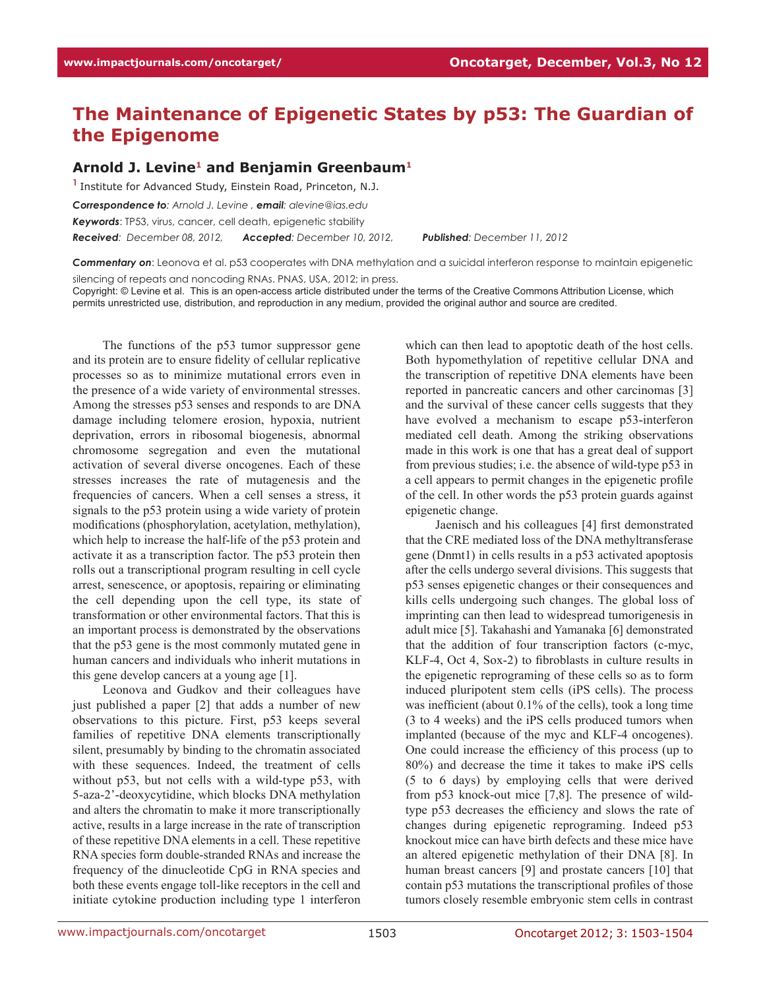## **The Maintenance of Epigenetic States by p53: The Guardian of the Epigenome**

## **Arnold J. Levine1 and Benjamin Greenbaum1**

**<sup>1</sup>**Institute for Advanced Study, Einstein Road, Princeton, N.J. *Correspondence to: Arnold J. Levine , email: alevine@ias.edu Keywords*: TP53, virus, cancer, cell death, epigenetic stability *Received: December 08, 2012, Accepted: December 10, 2012, Published: December 11, 2012*

*Commentary on*: Leonova et al. p53 cooperates with DNA methylation and a suicidal interferon response to maintain epigenetic

silencing of repeats and noncoding RNAs. PNAS, USA, 2012; in press.

Copyright: © Levine et al. This is an open-access article distributed under the terms of the Creative Commons Attribution License, which permits unrestricted use, distribution, and reproduction in any medium, provided the original author and source are credited.

The functions of the p53 tumor suppressor gene and its protein are to ensure fidelity of cellular replicative processes so as to minimize mutational errors even in the presence of a wide variety of environmental stresses. Among the stresses p53 senses and responds to are DNA damage including telomere erosion, hypoxia, nutrient deprivation, errors in ribosomal biogenesis, abnormal chromosome segregation and even the mutational activation of several diverse oncogenes. Each of these stresses increases the rate of mutagenesis and the frequencies of cancers. When a cell senses a stress, it signals to the p53 protein using a wide variety of protein modifications (phosphorylation, acetylation, methylation), which help to increase the half-life of the p53 protein and activate it as a transcription factor. The p53 protein then rolls out a transcriptional program resulting in cell cycle arrest, senescence, or apoptosis, repairing or eliminating the cell depending upon the cell type, its state of transformation or other environmental factors. That this is an important process is demonstrated by the observations that the p53 gene is the most commonly mutated gene in human cancers and individuals who inherit mutations in this gene develop cancers at a young age [1].

Leonova and Gudkov and their colleagues have just published a paper [2] that adds a number of new observations to this picture. First, p53 keeps several families of repetitive DNA elements transcriptionally silent, presumably by binding to the chromatin associated with these sequences. Indeed, the treatment of cells without p53, but not cells with a wild-type p53, with 5-aza-2'-deoxycytidine, which blocks DNA methylation and alters the chromatin to make it more transcriptionally active, results in a large increase in the rate of transcription of these repetitive DNA elements in a cell. These repetitive RNA species form double-stranded RNAs and increase the frequency of the dinucleotide CpG in RNA species and both these events engage toll-like receptors in the cell and initiate cytokine production including type 1 interferon which can then lead to apoptotic death of the host cells. Both hypomethylation of repetitive cellular DNA and the transcription of repetitive DNA elements have been reported in pancreatic cancers and other carcinomas [3] and the survival of these cancer cells suggests that they have evolved a mechanism to escape p53-interferon mediated cell death. Among the striking observations made in this work is one that has a great deal of support from previous studies; i.e. the absence of wild-type p53 in a cell appears to permit changes in the epigenetic profile of the cell. In other words the p53 protein guards against epigenetic change.

Jaenisch and his colleagues [4] first demonstrated that the CRE mediated loss of the DNA methyltransferase gene (Dnmt1) in cells results in a p53 activated apoptosis after the cells undergo several divisions. This suggests that p53 senses epigenetic changes or their consequences and kills cells undergoing such changes. The global loss of imprinting can then lead to widespread tumorigenesis in adult mice [5]. Takahashi and Yamanaka [6] demonstrated that the addition of four transcription factors (c-myc, KLF-4, Oct 4, Sox-2) to fibroblasts in culture results in the epigenetic reprograming of these cells so as to form induced pluripotent stem cells (iPS cells). The process was inefficient (about 0.1% of the cells), took a long time (3 to 4 weeks) and the iPS cells produced tumors when implanted (because of the myc and KLF-4 oncogenes). One could increase the efficiency of this process (up to 80%) and decrease the time it takes to make iPS cells (5 to 6 days) by employing cells that were derived from p53 knock-out mice [7,8]. The presence of wildtype p53 decreases the efficiency and slows the rate of changes during epigenetic reprograming. Indeed p53 knockout mice can have birth defects and these mice have an altered epigenetic methylation of their DNA [8]. In human breast cancers [9] and prostate cancers [10] that contain p53 mutations the transcriptional profiles of those tumors closely resemble embryonic stem cells in contrast